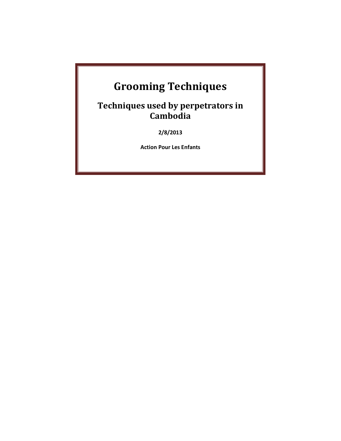# **Grooming Techniques**

**Techniques used by perpetrators in Cambodia**

**2/8/2013**

**Action Pour Les Enfants**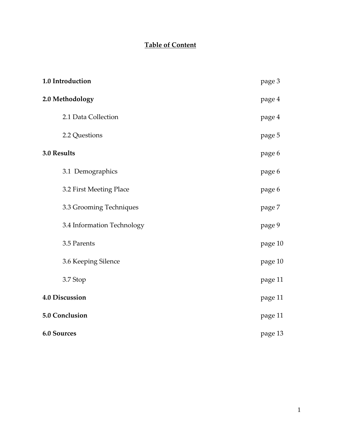# **Table of Content**

| 1.0 Introduction           | page 3  |
|----------------------------|---------|
| 2.0 Methodology            | page 4  |
| 2.1 Data Collection        | page 4  |
| 2.2 Questions              | page 5  |
| 3.0 Results                | page 6  |
| 3.1 Demographics           | page 6  |
| 3.2 First Meeting Place    | page 6  |
| 3.3 Grooming Techniques    | page 7  |
| 3.4 Information Technology | page 9  |
| 3.5 Parents                | page 10 |
| 3.6 Keeping Silence        | page 10 |
| 3.7 Stop                   | page 11 |
| 4.0 Discussion             | page 11 |
| 5.0 Conclusion             | page 11 |
| <b>6.0 Sources</b>         | page 13 |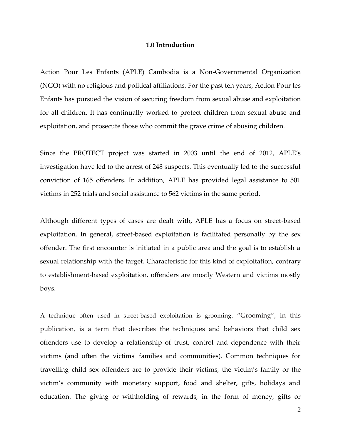### **1.0 Introduction**

Action Pour Les Enfants (APLE) Cambodia is a Non-Governmental Organization (NGO) with no religious and political affiliations. For the past ten years, Action Pour les Enfants has pursued the vision of securing freedom from sexual abuse and exploitation for all children. It has continually worked to protect children from sexual abuse and exploitation, and prosecute those who commit the grave crime of abusing children.

Since the PROTECT project was started in 2003 until the end of 2012, APLE's investigation have led to the arrest of 248 suspects. This eventually led to the successful conviction of 165 offenders. In addition, APLE has provided legal assistance to 501 victims in 252 trials and social assistance to 562 victims in the same period.

Although different types of cases are dealt with, APLE has a focus on street-based exploitation. In general, street-based exploitation is facilitated personally by the sex offender. The first encounter is initiated in a public area and the goal is to establish a sexual relationship with the target. Characteristic for this kind of exploitation, contrary to establishment-based exploitation, offenders are mostly Western and victims mostly boys.

A technique often used in street-based exploitation is grooming. "Grooming", in this publication, is a term that describes the techniques and behaviors that child sex offenders use to develop a relationship of trust, control and dependence with their victims (and often the victims' families and communities). Common techniques for travelling child sex offenders are to provide their victims, the victim's family or the victim's community with monetary support, food and shelter, gifts, holidays and education. The giving or withholding of rewards, in the form of money, gifts or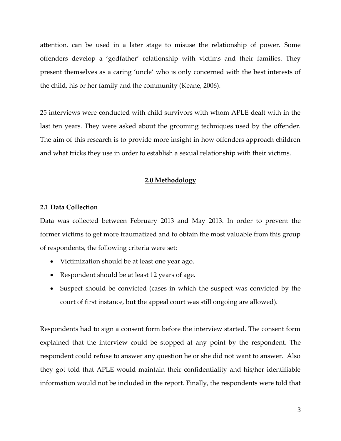attention, can be used in a later stage to misuse the relationship of power. Some offenders develop a 'godfather' relationship with victims and their families. They present themselves as a caring 'uncle' who is only concerned with the best interests of the child, his or her family and the community (Keane, 2006).

25 interviews were conducted with child survivors with whom APLE dealt with in the last ten years. They were asked about the grooming techniques used by the offender. The aim of this research is to provide more insight in how offenders approach children and what tricks they use in order to establish a sexual relationship with their victims.

# **2.0 Methodology**

#### **2.1 Data Collection**

Data was collected between February 2013 and May 2013. In order to prevent the former victims to get more traumatized and to obtain the most valuable from this group of respondents, the following criteria were set:

- Victimization should be at least one year ago.
- Respondent should be at least 12 years of age.
- Suspect should be convicted (cases in which the suspect was convicted by the court of first instance, but the appeal court was still ongoing are allowed).

Respondents had to sign a consent form before the interview started. The consent form explained that the interview could be stopped at any point by the respondent. The respondent could refuse to answer any question he or she did not want to answer. Also they got told that APLE would maintain their confidentiality and his/her identifiable information would not be included in the report. Finally, the respondents were told that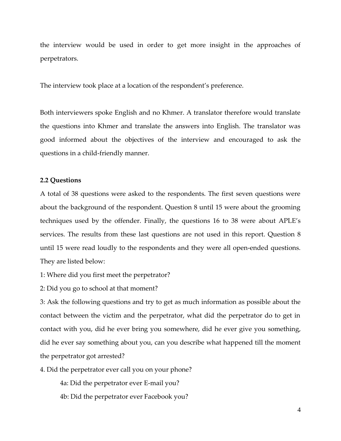the interview would be used in order to get more insight in the approaches of perpetrators.

The interview took place at a location of the respondent's preference.

Both interviewers spoke English and no Khmer. A translator therefore would translate the questions into Khmer and translate the answers into English. The translator was good informed about the objectives of the interview and encouraged to ask the questions in a child-friendly manner.

# **2.2 Questions**

A total of 38 questions were asked to the respondents. The first seven questions were about the background of the respondent. Question 8 until 15 were about the grooming techniques used by the offender. Finally, the questions 16 to 38 were about APLE's services. The results from these last questions are not used in this report. Question 8 until 15 were read loudly to the respondents and they were all open-ended questions. They are listed below:

1: Where did you first meet the perpetrator?

2: Did you go to school at that moment?

3: Ask the following questions and try to get as much information as possible about the contact between the victim and the perpetrator, what did the perpetrator do to get in contact with you, did he ever bring you somewhere, did he ever give you something, did he ever say something about you, can you describe what happened till the moment the perpetrator got arrested?

4. Did the perpetrator ever call you on your phone?

4a: Did the perpetrator ever E-mail you?

4b: Did the perpetrator ever Facebook you?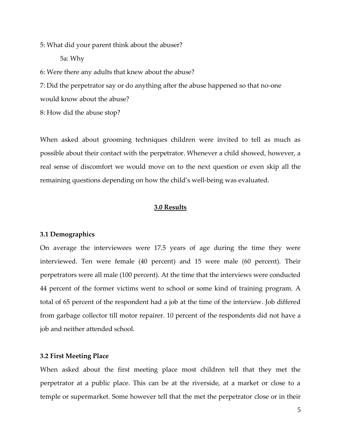5: What did your parent think about the abuser?

5a: Why

6: Were there any adults that knew about the abuse?

7: Did the perpetrator say or do anything after the abuse happened so that no-one would know about the abuse?

8: How did the abuse stop?

When asked about grooming techniques children were invited to tell as much as possible about their contact with the perpetrator. Whenever a child showed, however, a real sense of discomfort we would move on to the next question or even skip all the remaining questions depending on how the child's well-being was evaluated.

# **3.0 Results**

#### **3.1 Demographics**

On average the interviewees were 17.5 years of age during the time they were interviewed. Ten were female (40 percent) and 15 were male (60 percent). Their perpetrators were all male (100 percent). At the time that the interviews were conducted 44 percent of the former victims went to school or some kind of training program. A total of 65 percent of the respondent had a job at the time of the interview. Job differed from garbage collector till motor repairer. 10 percent of the respondents did not have a job and neither attended school.

# **3.2 First Meeting Place**

When asked about the first meeting place most children tell that they met the perpetrator at a public place. This can be at the riverside, at a market or close to a temple or supermarket. Some however tell that the met the perpetrator close or in their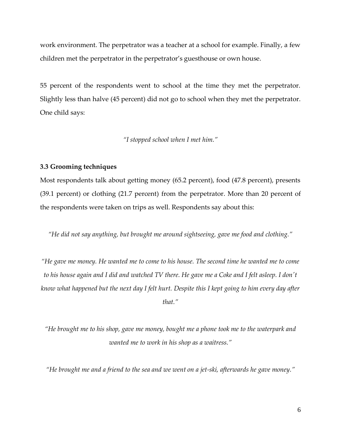work environment. The perpetrator was a teacher at a school for example. Finally, a few children met the perpetrator in the perpetrator's guesthouse or own house.

55 percent of the respondents went to school at the time they met the perpetrator. Slightly less than halve (45 percent) did not go to school when they met the perpetrator. One child says:

*"I stopped school when I met him."*

#### **3.3 Grooming techniques**

Most respondents talk about getting money (65.2 percent), food (47.8 percent), presents (39.1 percent) or clothing (21.7 percent) from the perpetrator. More than 20 percent of the respondents were taken on trips as well. Respondents say about this:

*"He did not say anything, but brought me around sightseeing, gave me food and clothing."*

*"He gave me money. He wanted me to come to his house. The second time he wanted me to come to his house again and I did and watched TV there. He gave me a Coke and I felt asleep. I don't know what happened but the next day I felt hurt. Despite this I kept going to him every day after that."*

*"He brought me to his shop, gave me money, bought me a phone took me to the waterpark and wanted me to work in his shop as a waitress."*

*"He brought me and a friend to the sea and we went on a jet-ski, afterwards he gave money."*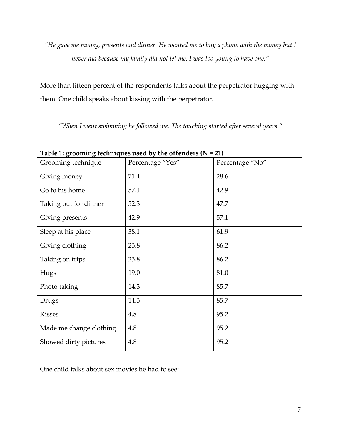*"He gave me money, presents and dinner. He wanted me to buy a phone with the money but I never did because my family did not let me. I was too young to have one."*

More than fifteen percent of the respondents talks about the perpetrator hugging with them. One child speaks about kissing with the perpetrator.

*"When I went swimming he followed me. The touching started after several years."*

| Grooming technique      | Percentage "Yes" | Percentage "No" |
|-------------------------|------------------|-----------------|
| Giving money            | 71.4             | 28.6            |
| Go to his home          | 57.1             | 42.9            |
| Taking out for dinner   | 52.3             | 47.7            |
| Giving presents         | 42.9             | 57.1            |
| Sleep at his place      | 38.1             | 61.9            |
| Giving clothing         | 23.8             | 86.2            |
| Taking on trips         | 23.8             | 86.2            |
| Hugs                    | 19.0             | 81.0            |
| Photo taking            | 14.3             | 85.7            |
| Drugs                   | 14.3             | 85.7            |
| <b>Kisses</b>           | 4.8              | 95.2            |
| Made me change clothing | 4.8              | 95.2            |
| Showed dirty pictures   | 4.8              | 95.2            |

**Table 1: grooming techniques used by the offenders (N = 21)**

One child talks about sex movies he had to see: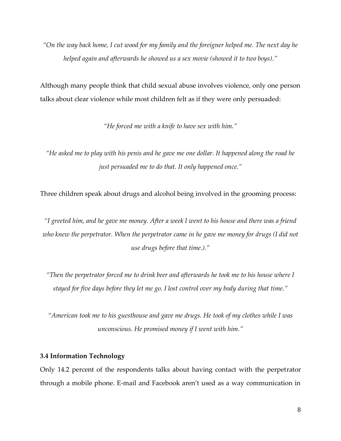*"On the way back home, I cut wood for my family and the foreigner helped me. The next day he helped again and afterwards he showed us a sex movie (showed it to two boys)."* 

Although many people think that child sexual abuse involves violence, only one person talks about clear violence while most children felt as if they were only persuaded:

*"He forced me with a knife to have sex with him."*

*"He asked me to play with his penis and he gave me one dollar. It happened along the road he just persuaded me to do that. It only happened once."*

Three children speak about drugs and alcohol being involved in the grooming process:

*"I greeted him, and he gave me money. After a week I went to his house and there was a friend who knew the perpetrator. When the perpetrator came in he gave me money for drugs (I did not use drugs before that time.)."*

*"Then the perpetrator forced me to drink beer and afterwards he took me to his house where I stayed for five days before they let me go. I lost control over my body during that time."*

*"American took me to his guesthouse and gave me drugs. He took of my clothes while I was unconscious. He promised money if I went with him."*

# **3.4 Information Technology**

Only 14.2 percent of the respondents talks about having contact with the perpetrator through a mobile phone. E-mail and Facebook aren't used as a way communication in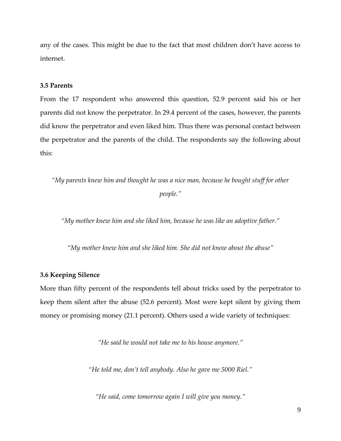any of the cases. This might be due to the fact that most children don't have access to internet.

# **3.5 Parents**

From the 17 respondent who answered this question, 52.9 percent said his or her parents did not know the perpetrator. In 29.4 percent of the cases, however, the parents did know the perpetrator and even liked him. Thus there was personal contact between the perpetrator and the parents of the child. The respondents say the following about this:

*"My parents knew him and thought he was a nice man, because he bought stuff for other people."*

*"My mother knew him and she liked him, because he was like an adoptive father."*

*"My mother knew him and she liked him. She did not know about the abuse"*

# **3.6 Keeping Silence**

More than fifty percent of the respondents tell about tricks used by the perpetrator to keep them silent after the abuse (52.6 percent). Most were kept silent by giving them money or promising money (21.1 percent). Others used a wide variety of techniques:

*"He said he would not take me to his house anymore."*

*"He told me, don't tell anybody. Also he gave me 5000 Riel."*

*"He said, come tomorrow again I will give you money."*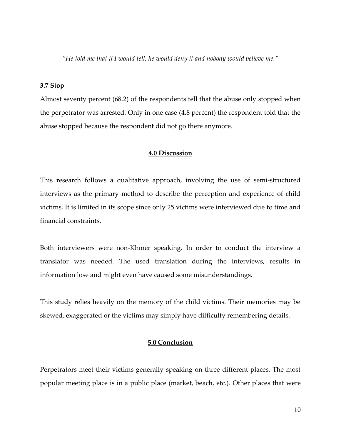*"He told me that if I would tell, he would deny it and nobody would believe me."*

# **3.7 Stop**

Almost seventy percent (68.2) of the respondents tell that the abuse only stopped when the perpetrator was arrested. Only in one case (4.8 percent) the respondent told that the abuse stopped because the respondent did not go there anymore.

# **4.0 Discussion**

This research follows a qualitative approach, involving the use of semi-structured interviews as the primary method to describe the perception and experience of child victims. It is limited in its scope since only 25 victims were interviewed due to time and financial constraints.

Both interviewers were non-Khmer speaking. In order to conduct the interview a translator was needed. The used translation during the interviews, results in information lose and might even have caused some misunderstandings.

This study relies heavily on the memory of the child victims. Their memories may be skewed, exaggerated or the victims may simply have difficulty remembering details.

# **5.0 Conclusion**

Perpetrators meet their victims generally speaking on three different places. The most popular meeting place is in a public place (market, beach, etc.). Other places that were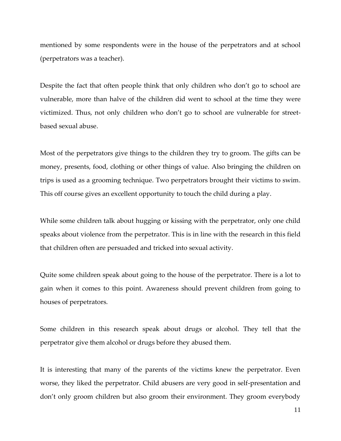mentioned by some respondents were in the house of the perpetrators and at school (perpetrators was a teacher).

Despite the fact that often people think that only children who don't go to school are vulnerable, more than halve of the children did went to school at the time they were victimized. Thus, not only children who don't go to school are vulnerable for streetbased sexual abuse.

Most of the perpetrators give things to the children they try to groom. The gifts can be money, presents, food, clothing or other things of value. Also bringing the children on trips is used as a grooming technique. Two perpetrators brought their victims to swim. This off course gives an excellent opportunity to touch the child during a play.

While some children talk about hugging or kissing with the perpetrator, only one child speaks about violence from the perpetrator. This is in line with the research in this field that children often are persuaded and tricked into sexual activity.

Quite some children speak about going to the house of the perpetrator. There is a lot to gain when it comes to this point. Awareness should prevent children from going to houses of perpetrators.

Some children in this research speak about drugs or alcohol. They tell that the perpetrator give them alcohol or drugs before they abused them.

It is interesting that many of the parents of the victims knew the perpetrator. Even worse, they liked the perpetrator. Child abusers are very good in self-presentation and don't only groom children but also groom their environment. They groom everybody

11